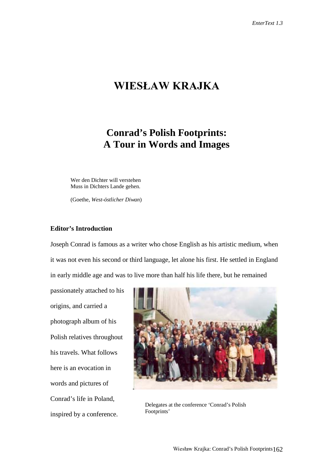# **WIESŁAW KRAJKA**

# **Conrad's Polish Footprints: A Tour in Words and Images**

Wer den Dichter will verstehen Muss in Dichters Lande gehen.

(Goethe, *West-östlicher Diwan*)

## **Editor's Introduction**

Joseph Conrad is famous as a writer who chose English as his artistic medium, when it was not even his second or third language, let alone his first. He settled in England in early middle age and was to live more than half his life there, but he remained

passionately attached to his origins, and carried a photograph album of his Polish relatives throughout his travels. What follows here is an evocation in words and pictures of Conrad's life in Poland, inspired by a conference.



Delegates at the conference 'Conrad's Polish Footprints'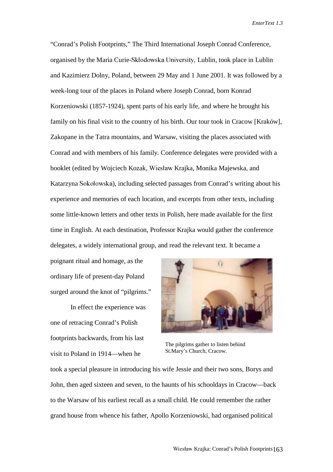"Conrad's Polish Footprints," The Third International Joseph Conrad Conference, organised by the Maria Curie-Skłodowska University, Lublin, took place in Lublin and Kazimierz Dolny, Poland, between 29 May and 1 June 2001. It was followed by a week-long tour of the places in Poland where Joseph Conrad, born Konrad Korzeniowski (1857-1924), spent parts of his early life, and where he brought his family on his final visit to the country of his birth. Our tour took in Cracow [Kraków], Zakopane in the Tatra mountains, and Warsaw, visiting the places associated with Conrad and with members of his family. Conference delegates were provided with a booklet (edited by Wojciech Kozak, Wiesław Krajka, Monika Majewska, and Katarzyna Sokołowska), including selected passages from Conrad's writing about his experience and memories of each location, and excerpts from other texts, including some little-known letters and other texts in Polish, here made available for the first time in English. At each destination, Professor Krajka would gather the conference delegates, a widely international group, and read the relevant text. It became a

poignant ritual and homage, as the ordinary life of present-day Poland surged around the knot of "pilgrims."

In effect the experience was one of retracing Conrad's Polish footprints backwards, from his last visit to Poland in 1914—when he



The pilgrims gather to listen behind St.Mary's Church, Cracow.

took a special pleasure in introducing his wife Jessie and their two sons, Borys and John, then aged sixteen and seven, to the haunts of his schooldays in Cracow—back to the Warsaw of his earliest recall as a small child. He could remember the rather grand house from whence his father, Apollo Korzeniowski, had organised political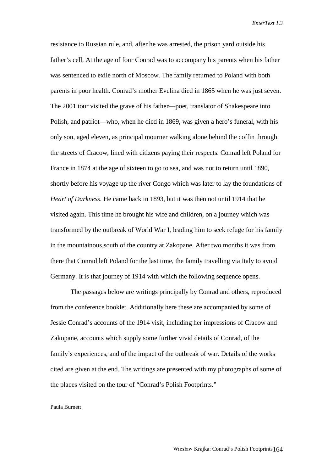resistance to Russian rule, and, after he was arrested, the prison yard outside his father's cell. At the age of four Conrad was to accompany his parents when his father was sentenced to exile north of Moscow. The family returned to Poland with both parents in poor health. Conrad's mother Evelina died in 1865 when he was just seven. The 2001 tour visited the grave of his father—poet, translator of Shakespeare into Polish, and patriot—who, when he died in 1869, was given a hero's funeral, with his only son, aged eleven, as principal mourner walking alone behind the coffin through the streets of Cracow, lined with citizens paying their respects. Conrad left Poland for France in 1874 at the age of sixteen to go to sea, and was not to return until 1890, shortly before his voyage up the river Congo which was later to lay the foundations of *Heart of Darkness*. He came back in 1893, but it was then not until 1914 that he visited again. This time he brought his wife and children, on a journey which was transformed by the outbreak of World War I, leading him to seek refuge for his family in the mountainous south of the country at Zakopane. After two months it was from there that Conrad left Poland for the last time, the family travelling via Italy to avoid Germany. It is that journey of 1914 with which the following sequence opens.

The passages below are writings principally by Conrad and others, reproduced from the conference booklet. Additionally here these are accompanied by some of Jessie Conrad's accounts of the 1914 visit, including her impressions of Cracow and Zakopane, accounts which supply some further vivid details of Conrad, of the family's experiences, and of the impact of the outbreak of war. Details of the works cited are given at the end. The writings are presented with my photographs of some of the places visited on the tour of "Conrad's Polish Footprints."

#### Paula Burnett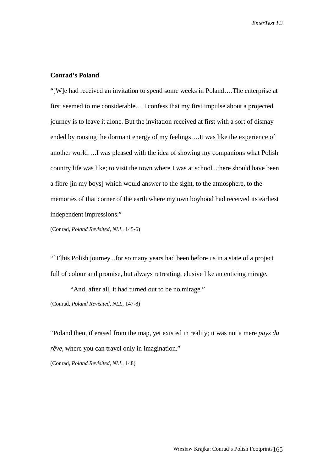### **Conrad's Poland**

"[W]e had received an invitation to spend some weeks in Poland….The enterprise at first seemed to me considerable….I confess that my first impulse about a projected journey is to leave it alone. But the invitation received at first with a sort of dismay ended by rousing the dormant energy of my feelings….It was like the experience of another world….I was pleased with the idea of showing my companions what Polish country life was like; to visit the town where I was at school...there should have been a fibre [in my boys] which would answer to the sight, to the atmosphere, to the memories of that corner of the earth where my own boyhood had received its earliest independent impressions."

(Conrad, *Poland Revisited, NLL,* 145-6)

"[T]his Polish journey...for so many years had been before us in a state of a project full of colour and promise, but always retreating, elusive like an enticing mirage.

"And, after all, it had turned out to be no mirage."

(Conrad, *Poland Revisited, NLL,* 147-8)

"Poland then, if erased from the map, yet existed in reality; it was not a mere *pays du rêve*, where you can travel only in imagination."

(Conrad, *Poland Revisited, NLL,* 148)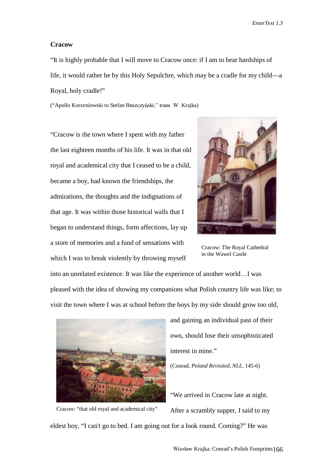#### **Cracow**

"It is highly probable that I will move to Cracow once: if I am to bear hardships of life, it would rather be by this Holy Sepulchre, which may be a cradle for my child—a Royal, holy cradle!"

("Apollo Korzeniowski to Stefan Buszczyński;" trans. W. Krajka)

"Cracow is the town where I spent with my father the last eighteen months of his life. It was in that old royal and academical city that I ceased to be a child, became a boy, had known the friendships, the admirations, the thoughts and the indignations of that age. It was within those historical walls that I began to understand things, form affections, lay up a store of memories and a fund of sensations with which I was to break violently by throwing myself



Cracow: The Royal Cathedral in the Wawel Castle

into an unrelated existence. It was like the experience of another world…I was pleased with the idea of showing my companions what Polish country life was like; to visit the town where I was at school before the boys by my side should grow too old,



Cracow: "that old royal and academical city"

and gaining an individual past of their own, should lose their unsophisticated interest in mine."

(Conrad, *Poland Revisited, NLL,* 145-6)

"We arrived in Cracow late at night. After a scrambly supper, I said to my

eldest boy, "I can't go to bed. I am going out for a look round. Coming?" He was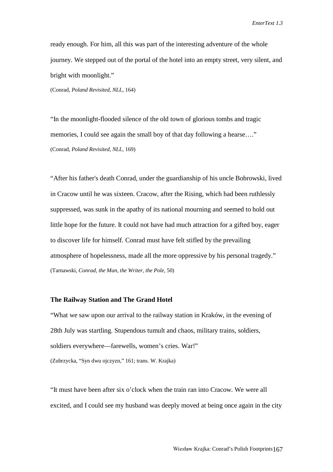ready enough. For him, all this was part of the interesting adventure of the whole journey. We stepped out of the portal of the hotel into an empty street, very silent, and bright with moonlight."

(Conrad, *Poland Revisited, NLL,* 164)

"In the moonlight-flooded silence of the old town of glorious tombs and tragic memories, I could see again the small boy of that day following a hearse...." (Conrad, *Poland Revisited, NLL,* 169)

"After his father's death Conrad, under the guardianship of his uncle Bobrowski, lived in Cracow until he was sixteen. Cracow, after the Rising, which had been ruthlessly suppressed, was sunk in the apathy of its national mourning and seemed to hold out little hope for the future. It could not have had much attraction for a gifted boy, eager to discover life for himself. Conrad must have felt stifled by the prevailing atmosphere of hopelessness, made all the more oppressive by his personal tragedy." (Tarnawski, *Conrad, the Man, the Writer, the Pole,* 50)

## **The Railway Station and The Grand Hotel**

"What we saw upon our arrival to the railway station in Kraków, in the evening of 28th July was startling. Stupendous tumult and chaos, military trains, soldiers, soldiers everywhere—farewells, women's cries. War!" (Zubrzycka, "Syn dwu ojczyzn," 161; trans. W. Krajka)

"It must have been after six o'clock when the train ran into Cracow. We were all excited, and I could see my husband was deeply moved at being once again in the city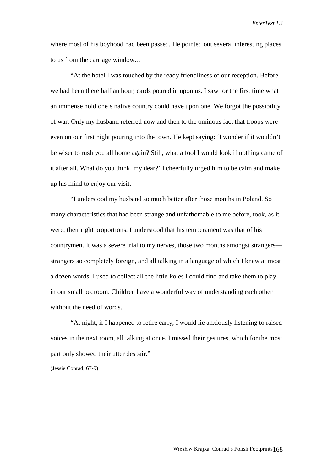where most of his boyhood had been passed. He pointed out several interesting places to us from the carriage window…

"At the hotel I was touched by the ready friendliness of our reception. Before we had been there half an hour, cards poured in upon us. I saw for the first time what an immense hold one's native country could have upon one. We forgot the possibility of war. Only my husband referred now and then to the ominous fact that troops were even on our first night pouring into the town. He kept saying: 'I wonder if it wouldn't be wiser to rush you all home again? Still, what a fool I would look if nothing came of it after all. What do you think, my dear?' I cheerfully urged him to be calm and make up his mind to enjoy our visit.

"I understood my husband so much better after those months in Poland. So many characteristics that had been strange and unfathomable to me before, took, as it were, their right proportions. I understood that his temperament was that of his countrymen. It was a severe trial to my nerves, those two months amongst strangers strangers so completely foreign, and all talking in a language of which I knew at most a dozen words. I used to collect all the little Poles I could find and take them to play in our small bedroom. Children have a wonderful way of understanding each other without the need of words.

"At night, if I happened to retire early, I would lie anxiously listening to raised voices in the next room, all talking at once. I missed their gestures, which for the most part only showed their utter despair."

(Jessie Conrad, 67-9)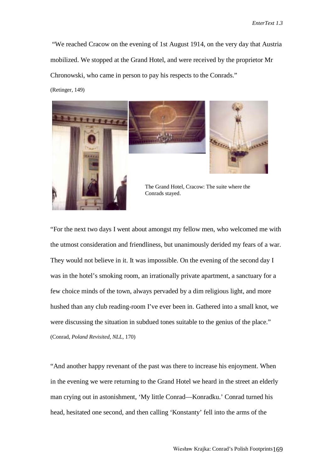"We reached Cracow on the evening of 1st August 1914, on the very day that Austria mobilized. We stopped at the Grand Hotel, and were received by the proprietor Mr Chronowski, who came in person to pay his respects to the Conrads."

(Retinger, 149)



"For the next two days I went about amongst my fellow men, who welcomed me with the utmost consideration and friendliness, but unanimously derided my fears of a war. They would not believe in it. It was impossible. On the evening of the second day I was in the hotel's smoking room, an irrationally private apartment, a sanctuary for a few choice minds of the town, always pervaded by a dim religious light, and more hushed than any club reading-room I've ever been in. Gathered into a small knot, we were discussing the situation in subdued tones suitable to the genius of the place." (Conrad, *Poland Revisited, NLL,* 170)

"And another happy revenant of the past was there to increase his enjoyment. When in the evening we were returning to the Grand Hotel we heard in the street an elderly man crying out in astonishment, 'My little Conrad—Konradku.' Conrad turned his head, hesitated one second, and then calling 'Konstanty' fell into the arms of the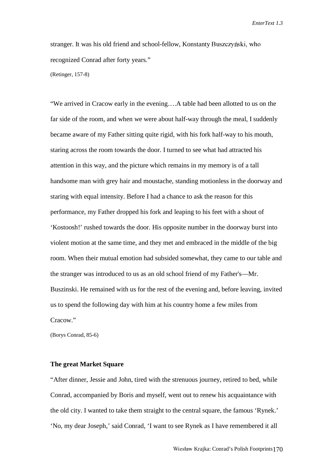stranger. It was his old friend and school-fellow, Konstanty Buszczyński, who recognized Conrad after forty years." (Retinger, 157-8)

"We arrived in Cracow early in the evening….A table had been allotted to us on the far side of the room, and when we were about half-way through the meal, I suddenly became aware of my Father sitting quite rigid, with his fork half-way to his mouth, staring across the room towards the door. I turned to see what had attracted his attention in this way, and the picture which remains in my memory is of a tall handsome man with grey hair and moustache, standing motionless in the doorway and staring with equal intensity. Before I had a chance to ask the reason for this performance, my Father dropped his fork and leaping to his feet with a shout of 'Kostoosh!' rushed towards the door. His opposite number in the doorway burst into violent motion at the same time, and they met and embraced in the middle of the big room. When their mutual emotion had subsided somewhat, they came to our table and the stranger was introduced to us as an old school friend of my Father's—Mr. Buszinski. He remained with us for the rest of the evening and, before leaving, invited us to spend the following day with him at his country home a few miles from Cracow."

(Borys Conrad, 85-6)

## **The great Market Square**

"After dinner, Jessie and John, tired with the strenuous journey, retired to bed, while Conrad, accompanied by Boris and myself, went out to renew his acquaintance with the old city. I wanted to take them straight to the central square, the famous 'Rynek.' 'No, my dear Joseph,' said Conrad, 'I want to see Rynek as I have remembered it all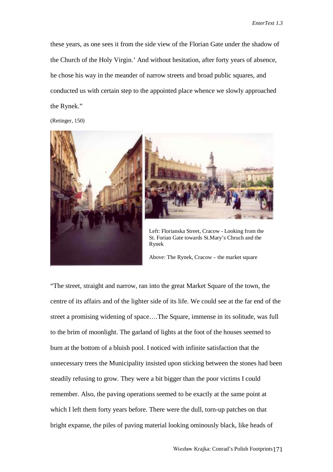these years, as one sees it from the side view of the Florian Gate under the shadow of the Church of the Holy Virgin.' And without hesitation, after forty years of absence, he chose his way in the meander of narrow streets and broad public squares, and conducted us with certain step to the appointed place whence we slowly approached the Rynek."

(Retinger, 150)



St. Forian Gate towards St.Mary's Chruch and the Rynek

Above: The Rynek, Cracow – the market square

"The street, straight and narrow, ran into the great Market Square of the town, the centre of its affairs and of the lighter side of its life. We could see at the far end of the street a promising widening of space….The Square, immense in its solitude, was full to the brim of moonlight. The garland of lights at the foot of the houses seemed to burn at the bottom of a bluish pool. I noticed with infinite satisfaction that the unnecessary trees the Municipality insisted upon sticking between the stones had been steadily refusing to grow. They were a bit bigger than the poor victims I could remember. Also, the paving operations seemed to be exactly at the same point at which I left them forty years before. There were the dull, torn-up patches on that bright expanse, the piles of paving material looking ominously black, like heads of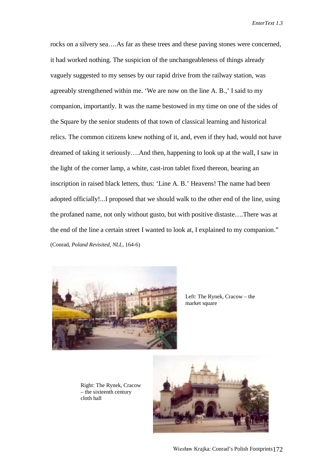rocks on a silvery sea….As far as these trees and these paving stones were concerned, it had worked nothing. The suspicion of the unchangeableness of things already vaguely suggested to my senses by our rapid drive from the railway station, was agreeably strengthened within me. 'We are now on the line A. B.,' I said to my companion, importantly. It was the name bestowed in my time on one of the sides of the Square by the senior students of that town of classical learning and historical relics. The common citizens knew nothing of it, and, even if they had, would not have dreamed of taking it seriously….And then, happening to look up at the wall, I saw in the light of the corner lamp, a white, cast-iron tablet fixed thereon, bearing an inscription in raised black letters, thus: 'Line A. B.' Heavens! The name had been adopted officially!...I proposed that we should walk to the other end of the line, using the profaned name, not only without gusto, but with positive distaste….There was at the end of the line a certain street I wanted to look at, I explained to my companion." (Conrad, *Poland Revisited, NLL,* 164-6)



Left: The Rynek, Cracow – the market square

Right: The Rynek, Cracow – the sixteenth century cloth hall

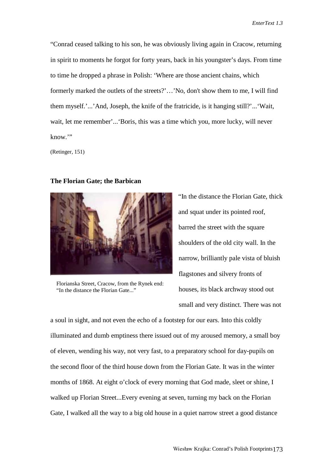"Conrad ceased talking to his son, he was obviously living again in Cracow, returning in spirit to moments he forgot for forty years, back in his youngster's days. From time to time he dropped a phrase in Polish: 'Where are those ancient chains, which formerly marked the outlets of the streets?'…'No, don't show them to me, I will find them myself.'...'And, Joseph, the knife of the fratricide, is it hanging still?'...'Wait, wait, let me remember'...'Boris, this was a time which you, more lucky, will never know."

(Retinger, 151)

#### **The Florian Gate; the Barbican**



Florianska Street, Cracow, from the Rynek end: "In the distance the Florian Gate..."

"In the distance the Florian Gate, thick and squat under its pointed roof, barred the street with the square shoulders of the old city wall. In the narrow, brilliantly pale vista of bluish flagstones and silvery fronts of houses, its black archway stood out small and very distinct. There was not

a soul in sight, and not even the echo of a footstep for our ears. Into this coldly illuminated and dumb emptiness there issued out of my aroused memory, a small boy of eleven, wending his way, not very fast, to a preparatory school for day-pupils on the second floor of the third house down from the Florian Gate. It was in the winter months of 1868. At eight o'clock of every morning that God made, sleet or shine, I walked up Florian Street...Every evening at seven, turning my back on the Florian Gate, I walked all the way to a big old house in a quiet narrow street a good distance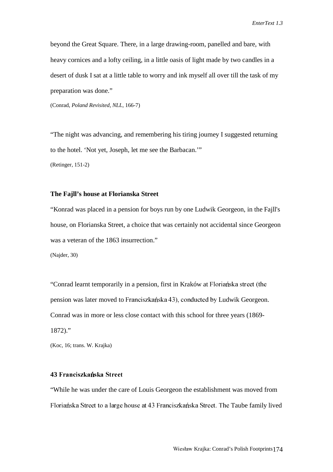beyond the Great Square. There, in a large drawing-room, panelled and bare, with heavy cornices and a lofty ceiling, in a little oasis of light made by two candles in a desert of dusk I sat at a little table to worry and ink myself all over till the task of my preparation was done."

(Conrad, *Poland Revisited, NLL,* 166-7)

"The night was advancing, and remembering his tiring journey I suggested returning to the hotel. 'Not yet, Joseph, let me see the Barbacan.'"

(Retinger, 151-2)

## **The Fajll's house at Florianska Street**

"Konrad was placed in a pension for boys run by one Ludwik Georgeon, in the Fajll's house, on Florianska Street, a choice that was certainly not accidental since Georgeon was a veteran of the 1863 insurrection."

(Najder, 30)

"Conrad learnt temporarily in a pension, first in Kraków at Floriańska street (the pension was later moved to Franciszkańska 43), conducted by Ludwik Georgeon. Conrad was in more or less close contact with this school for three years (1869- 1872)."

(Koc, 16; trans. W. Krajka)

### 43 Franciszkańska Street

"While he was under the care of Louis Georgeon the establishment was moved from Floriańska Street to a large house at 43 Franciszkańska Street. The Taube family lived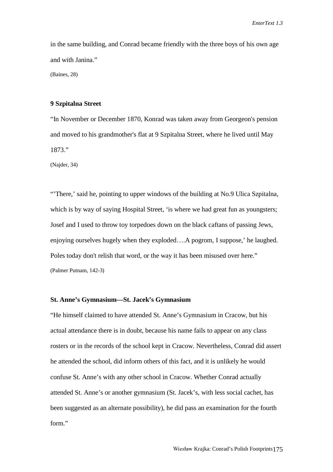in the same building, and Conrad became friendly with the three boys of his own age and with Janina."

(Baines, 28)

#### **9 Szpitalna Street**

"In November or December 1870, Konrad was taken away from Georgeon's pension and moved to his grandmother's flat at 9 Szpitalna Street, where he lived until May 1873."

(Najder, 34)

"'There,' said he, pointing to upper windows of the building at No.9 Ulica Szpitalna, which is by way of saying Hospital Street, 'is where we had great fun as youngsters; Josef and I used to throw toy torpedoes down on the black caftans of passing Jews, enjoying ourselves hugely when they exploded….A pogrom, I suppose,' he laughed. Poles today don't relish that word, or the way it has been misused over here." (Palmer Putnam, 142-3)

### **St. Anne's Gymnasium—St. Jacek's Gymnasium**

"He himself claimed to have attended St. Anne's Gymnasium in Cracow, but his actual attendance there is in doubt, because his name fails to appear on any class rosters or in the records of the school kept in Cracow. Nevertheless, Conrad did assert he attended the school, did inform others of this fact, and it is unlikely he would confuse St. Anne's with any other school in Cracow. Whether Conrad actually attended St. Anne's or another gymnasium (St. Jacek's, with less social cachet, has been suggested as an alternate possibility), he did pass an examination for the fourth form."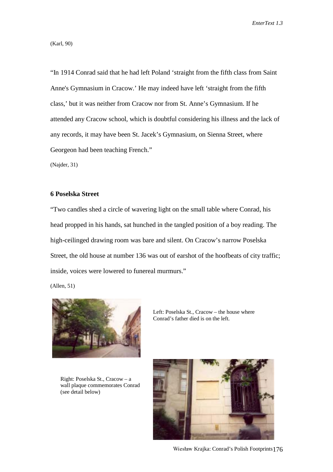(Karl, 90)

"In 1914 Conrad said that he had left Poland 'straight from the fifth class from Saint Anne's Gymnasium in Cracow.' He may indeed have left 'straight from the fifth class,' but it was neither from Cracow nor from St. Anne's Gymnasium. If he attended any Cracow school, which is doubtful considering his illness and the lack of any records, it may have been St. Jacek's Gymnasium, on Sienna Street, where Georgeon had been teaching French."

(Najder, 31)

### **6 Poselska Street**

"Two candles shed a circle of wavering light on the small table where Conrad, his head propped in his hands, sat hunched in the tangled position of a boy reading. The high-ceilinged drawing room was bare and silent. On Cracow's narrow Poselska Street, the old house at number 136 was out of earshot of the hoofbeats of city traffic; inside, voices were lowered to funereal murmurs."

(Allen, 51)



Right: Poselska St., Cracow – a wall plaque commemorates Conrad (see detail below)



-Krajka: Conrad's Polish Footprints176

Left: Poselska St., Cracow – the house where Conrad's father died is on the left.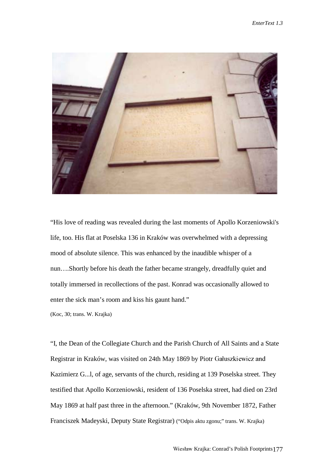

"His love of reading was revealed during the last moments of Apollo Korzeniowski's life, too. His flat at Poselska 136 in Kraków was overwhelmed with a depressing mood of absolute silence. This was enhanced by the inaudible whisper of a nun….Shortly before his death the father became strangely, dreadfully quiet and totally immersed in recollections of the past. Konrad was occasionally allowed to enter the sick man's room and kiss his gaunt hand."

(Koc, 30; trans. W. Krajka)

"I, the Dean of the Collegiate Church and the Parish Church of All Saints and a State Registrar in Kraków, was visited on 24th May 1869 by Piotr Gałuszkiewicz and Kazimierz G...l, of age, servants of the church, residing at 139 Poselska street. They testified that Apollo Korzeniowski, resident of 136 Poselska street, had died on 23rd May 1869 at half past three in the afternoon." (Kraków, 9th November 1872, Father Franciszek Madeyski, Deputy State Registrar) ("Odpis aktu zgonu;" trans. W. Krajka)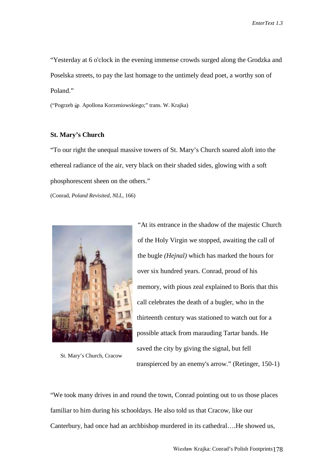"Yesterday at 6 o'clock in the evening immense crowds surged along the Grodzka and Poselska streets, to pay the last homage to the untimely dead poet, a worthy son of Poland."

("Pogrzeb śp. Apollona Korzeniowskiego;" trans. W. Krajka)

## **St. Mary's Church**

"To our right the unequal massive towers of St. Mary's Church soared aloft into the ethereal radiance of the air, very black on their shaded sides, glowing with a soft phosphorescent sheen on the others."

(Conrad, *Poland Revisited, NLL,* 166)



St. Mary's Church, Cracow

"At its entrance in the shadow of the majestic Church of the Holy Virgin we stopped, awaiting the call of the bugle *(Hejnal)* which has marked the hours for over six hundred years. Conrad, proud of his memory, with pious zeal explained to Boris that this call celebrates the death of a bugler, who in the thirteenth century was stationed to watch out for a possible attack from marauding Tartar bands. He saved the city by giving the signal, but fell transpierced by an enemy's arrow." (Retinger, 150-1)

"We took many drives in and round the town, Conrad pointing out to us those places familiar to him during his schooldays. He also told us that Cracow, like our Canterbury, had once had an archbishop murdered in its cathedral….He showed us,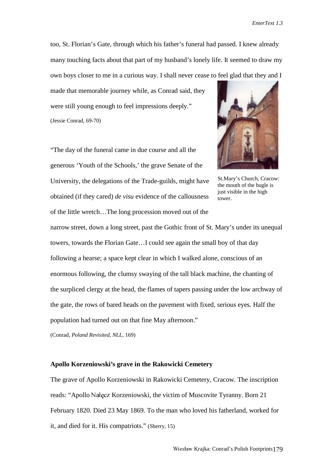too, St. Florian's Gate, through which his father's funeral had passed. I knew already many touching facts about that part of my husband's lonely life. It seemed to draw my own boys closer to me in a curious way. I shall never cease to feel glad that they and I

made that memorable journey while, as Conrad said, they were still young enough to feel impressions deeply." (Jessie Conrad, 69-70)

"The day of the funeral came in due course and all the generous 'Youth of the Schools,' the grave Senate of the University, the delegations of the Trade-guilds, might have obtained (if they cared) *de visu* evidence of the callousness of the little wretch…The long procession moved out of the



St.Mary's Church, Cracow: the mouth of the bugle is just visible in the high tower.

narrow street, down a long street, past the Gothic front of St. Mary's under its unequal towers, towards the Florian Gate…I could see again the small boy of that day following a hearse; a space kept clear in which I walked alone, conscious of an enormous following, the clumsy swaying of the tall black machine, the chanting of the surpliced clergy at the head, the flames of tapers passing under the low archway of the gate, the rows of bared heads on the pavement with fixed, serious eyes. Half the population had turned out on that fine May afternoon."

(Conrad, *Poland Revisited, NLL,* 169)

## **Apollo Korzeniowski's grave in the Rakowicki Cemetery**

The grave of Apollo Korzeniowski in Rakowicki Cemetery, Cracow. The inscription reads: "Apollo Nałęcz Korzeniowski, the victim of Muscovite Tyranny. Born 21 February 1820. Died 23 May 1869. To the man who loved his fatherland, worked for it, and died for it. His compatriots." (Sherry, 15)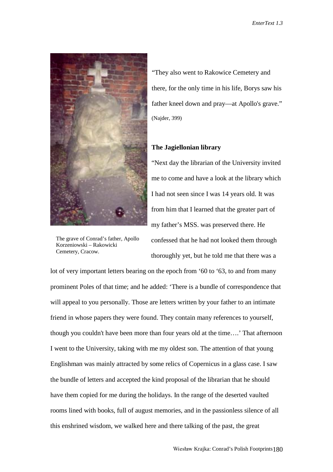

The grave of Conrad's father, Apollo Korzeniowski – Rakowicki Cemetery, Cracow.

"They also went to Rakowice Cemetery and there, for the only time in his life, Borys saw his father kneel down and pray—at Apollo's grave." (Najder, 399)

## **The Jagiellonian library**

"Next day the librarian of the University invited me to come and have a look at the library which I had not seen since I was 14 years old. It was from him that I learned that the greater part of my father's MSS. was preserved there. He confessed that he had not looked them through thoroughly yet, but he told me that there was a

lot of very important letters bearing on the epoch from '60 to '63, to and from many prominent Poles of that time; and he added: 'There is a bundle of correspondence that will appeal to you personally. Those are letters written by your father to an intimate friend in whose papers they were found. They contain many references to yourself, though you couldn't have been more than four years old at the time….' That afternoon I went to the University, taking with me my oldest son. The attention of that young Englishman was mainly attracted by some relics of Copernicus in a glass case. I saw the bundle of letters and accepted the kind proposal of the librarian that he should have them copied for me during the holidays. In the range of the deserted vaulted rooms lined with books, full of august memories, and in the passionless silence of all this enshrined wisdom, we walked here and there talking of the past, the great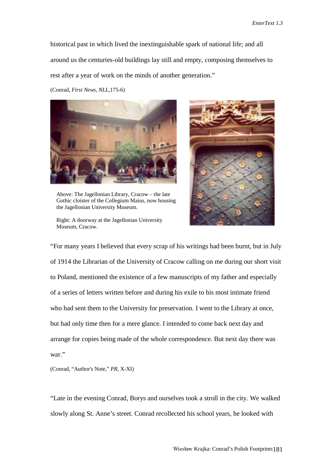historical past in which lived the inextinguishable spark of national life; and all around us the centuries-old buildings lay still and empty, composing themselves to rest after a year of work on the minds of another generation."

(Conrad, *First News, NLL,*175-6)



Above: The Jagellonian Library, Cracow – the late Gothic cloister of the Collegium Maius, now housing the Jagellonian University Museum.

Right: A doorway at the Jagellonian University Museum, Cracow.



"For many years I believed that every scrap of his writings had been burnt, but in July of 1914 the Librarian of the University of Cracow calling on me during our short visit to Poland, mentioned the existence of a few manuscripts of my father and especially of a series of letters written before and during his exile to his most intimate friend who had sent them to the University for preservation. I went to the Library at once, but had only time then for a mere glance. I intended to come back next day and arrange for copies being made of the whole correspondence. But next day there was war."

(Conrad, "Author's Note," *PR,* X-XI)

"Late in the evening Conrad, Borys and ourselves took a stroll in the city. We walked slowly along St. Anne's street. Conrad recollected his school years, he looked with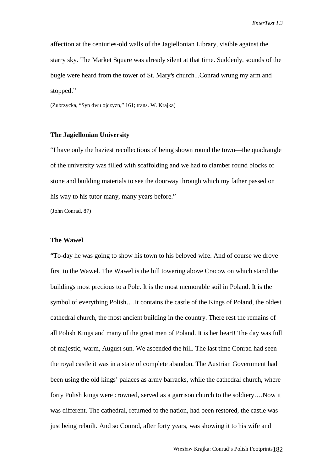affection at the centuries-old walls of the Jagiellonian Library, visible against the starry sky. The Market Square was already silent at that time. Suddenly, sounds of the bugle were heard from the tower of St. Mary's church...Conrad wrung my arm and stopped."

(Zubrzycka, "Syn dwu ojczyzn," 161; trans. W. Krajka)

#### **The Jagiellonian University**

"I have only the haziest recollections of being shown round the town—the quadrangle of the university was filled with scaffolding and we had to clamber round blocks of stone and building materials to see the doorway through which my father passed on his way to his tutor many, many years before."

(John Conrad, 87)

#### **The Wawel**

"To-day he was going to show his town to his beloved wife. And of course we drove first to the Wawel. The Wawel is the hill towering above Cracow on which stand the buildings most precious to a Pole. It is the most memorable soil in Poland. It is the symbol of everything Polish….It contains the castle of the Kings of Poland, the oldest cathedral church, the most ancient building in the country. There rest the remains of all Polish Kings and many of the great men of Poland. It is her heart! The day was full of majestic, warm, August sun. We ascended the hill. The last time Conrad had seen the royal castle it was in a state of complete abandon. The Austrian Government had been using the old kings' palaces as army barracks, while the cathedral church, where forty Polish kings were crowned, served as a garrison church to the soldiery….Now it was different. The cathedral, returned to the nation, had been restored, the castle was just being rebuilt. And so Conrad, after forty years, was showing it to his wife and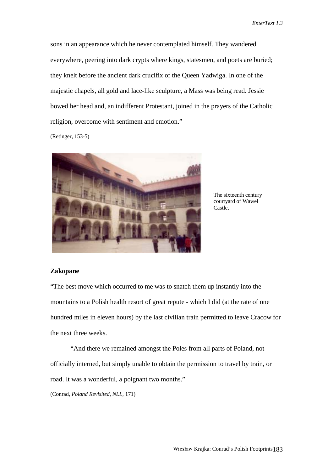sons in an appearance which he never contemplated himself. They wandered everywhere, peering into dark crypts where kings, statesmen, and poets are buried; they knelt before the ancient dark crucifix of the Queen Yadwiga. In one of the majestic chapels, all gold and lace-like sculpture, a Mass was being read. Jessie bowed her head and, an indifferent Protestant, joined in the prayers of the Catholic religion, overcome with sentiment and emotion."

(Retinger, 153-5)



The sixteenth century courtyard of Wawel Castle.

#### **Zakopane**

"The best move which occurred to me was to snatch them up instantly into the mountains to a Polish health resort of great repute - which I did (at the rate of one hundred miles in eleven hours) by the last civilian train permitted to leave Cracow for the next three weeks.

"And there we remained amongst the Poles from all parts of Poland, not officially interned, but simply unable to obtain the permission to travel by train, or road. It was a wonderful, a poignant two months."

(Conrad, *Poland Revisited, NLL,* 171)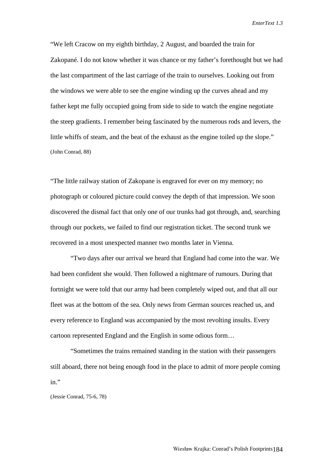"We left Cracow on my eighth birthday, 2 August, and boarded the train for Zakopané. I do not know whether it was chance or my father's forethought but we had the last compartment of the last carriage of the train to ourselves. Looking out from the windows we were able to see the engine winding up the curves ahead and my father kept me fully occupied going from side to side to watch the engine negotiate the steep gradients. I remember being fascinated by the numerous rods and levers, the little whiffs of steam, and the beat of the exhaust as the engine toiled up the slope." (John Conrad, 88)

"The little railway station of Zakopane is engraved for ever on my memory; no photograph or coloured picture could convey the depth of that impression. We soon discovered the dismal fact that only one of our trunks had got through, and, searching through our pockets, we failed to find our registration ticket. The second trunk we recovered in a most unexpected manner two months later in Vienna.

"Two days after our arrival we heard that England had come into the war. We had been confident she would. Then followed a nightmare of rumours. During that fortnight we were told that our army had been completely wiped out, and that all our fleet was at the bottom of the sea. Only news from German sources reached us, and every reference to England was accompanied by the most revolting insults. Every cartoon represented England and the English in some odious form…

"Sometimes the trains remained standing in the station with their passengers still aboard, there not being enough food in the place to admit of more people coming in."

(Jessie Conrad, 75-6, 78)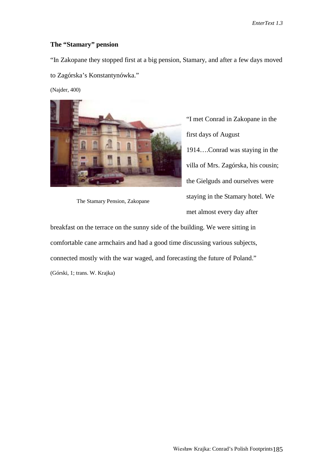## **The "Stamary" pension**

"In Zakopane they stopped first at a big pension, Stamary, and after a few days moved

to Zagórska's Konstantynówka."

(Najder, 400)



The Stamary Pension, Zakopane

"I met Conrad in Zakopane in the first days of August 1914….Conrad was staying in the villa of Mrs. Zagórska, his cousin; the Gielguds and ourselves were staying in the Stamary hotel. We met almost every day after

breakfast on the terrace on the sunny side of the building. We were sitting in comfortable cane armchairs and had a good time discussing various subjects, connected mostly with the war waged, and forecasting the future of Poland." (Górski, 1; trans. W. Krajka)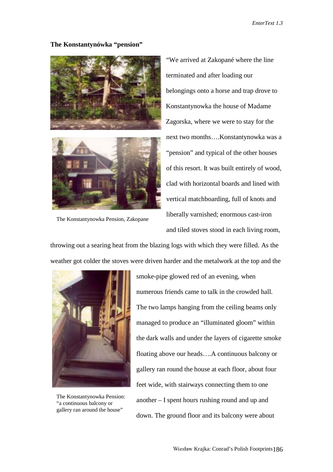## **The Konstantynówka "pension"**





The Konstantynowka Pension, Zakopane

"We arrived at Zakopané where the line terminated and after loading our belongings onto a horse and trap drove to Konstantynowka the house of Madame Zagorska, where we were to stay for the next two months….Konstantynowka was a "pension" and typical of the other houses of this resort. It was built entirely of wood, clad with horizontal boards and lined with vertical matchboarding, full of knots and liberally varnished; enormous cast-iron and tiled stoves stood in each living room,

throwing out a searing heat from the blazing logs with which they were filled. As the weather got colder the stoves were driven harder and the metalwork at the top and the



The Konstantynowka Pension: "a continuous balcony or gallery ran around the house"

smoke-pipe glowed red of an evening, when numerous friends came to talk in the crowded hall. The two lamps hanging from the ceiling beams only managed to produce an "illuminated gloom" within the dark walls and under the layers of cigarette smoke floating above our heads….A continuous balcony or gallery ran round the house at each floor, about four feet wide, with stairways connecting them to one another – I spent hours rushing round and up and down. The ground floor and its balcony were about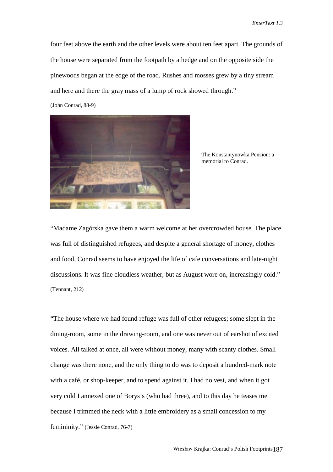four feet above the earth and the other levels were about ten feet apart. The grounds of the house were separated from the footpath by a hedge and on the opposite side the pinewoods began at the edge of the road. Rushes and mosses grew by a tiny stream and here and there the gray mass of a lump of rock showed through."

(John Conrad, 88-9)



The Konstantynowka Pension: a memorial to Conrad.

"Madame Zagórska gave them a warm welcome at her overcrowded house. The place was full of distinguished refugees, and despite a general shortage of money, clothes and food, Conrad seems to have enjoyed the life of cafe conversations and late-night discussions. It was fine cloudless weather, but as August wore on, increasingly cold." (Tennant, 212)

"The house where we had found refuge was full of other refugees; some slept in the dining-room, some in the drawing-room, and one was never out of earshot of excited voices. All talked at once, all were without money, many with scanty clothes. Small change was there none, and the only thing to do was to deposit a hundred-mark note with a café, or shop-keeper, and to spend against it. I had no vest, and when it got very cold I annexed one of Borys's (who had three), and to this day he teases me because I trimmed the neck with a little embroidery as a small concession to my femininity." (Jessie Conrad, 76-7)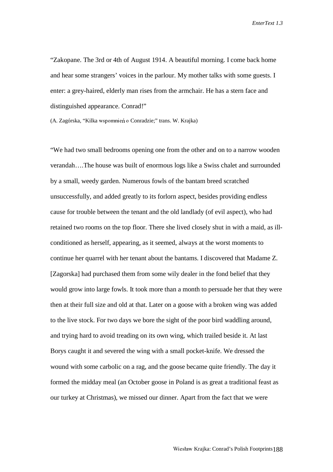"Zakopane. The 3rd or 4th of August 1914. A beautiful morning. I come back home and hear some strangers' voices in the parlour. My mother talks with some guests. I enter: a grey-haired, elderly man rises from the armchair. He has a stern face and distinguished appearance. Conrad!"

(A. Zagórska, "Kilka wspomnień o Conradzie;" trans. W. Krajka)

"We had two small bedrooms opening one from the other and on to a narrow wooden verandah….The house was built of enormous logs like a Swiss chalet and surrounded by a small, weedy garden. Numerous fowls of the bantam breed scratched unsuccessfully, and added greatly to its forlorn aspect, besides providing endless cause for trouble between the tenant and the old landlady (of evil aspect), who had retained two rooms on the top floor. There she lived closely shut in with a maid, as illconditioned as herself, appearing, as it seemed, always at the worst moments to continue her quarrel with her tenant about the bantams. I discovered that Madame Z. [Zagorska] had purchased them from some wily dealer in the fond belief that they would grow into large fowls. It took more than a month to persuade her that they were then at their full size and old at that. Later on a goose with a broken wing was added to the live stock. For two days we bore the sight of the poor bird waddling around, and trying hard to avoid treading on its own wing, which trailed beside it. At last Borys caught it and severed the wing with a small pocket-knife. We dressed the wound with some carbolic on a rag, and the goose became quite friendly. The day it formed the midday meal (an October goose in Poland is as great a traditional feast as our turkey at Christmas), we missed our dinner. Apart from the fact that we were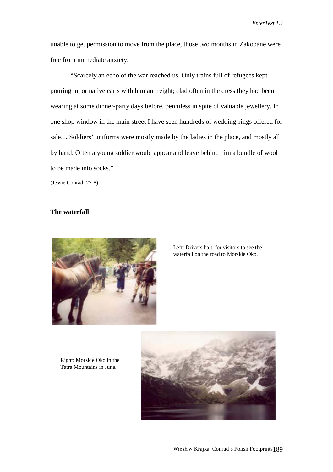unable to get permission to move from the place, those two months in Zakopane were free from immediate anxiety.

"Scarcely an echo of the war reached us. Only trains full of refugees kept pouring in, or native carts with human freight; clad often in the dress they had been wearing at some dinner-party days before, penniless in spite of valuable jewellery. In one shop window in the main street I have seen hundreds of wedding-rings offered for sale… Soldiers' uniforms were mostly made by the ladies in the place, and mostly all by hand. Often a young soldier would appear and leave behind him a bundle of wool to be made into socks."

(Jessie Conrad, 77-8)

## **The waterfall**



Left: Drivers halt for visitors to see the waterfall on the road to Morskie Oko.

Right: Morskie Oko in the Tatra Mountains in June.

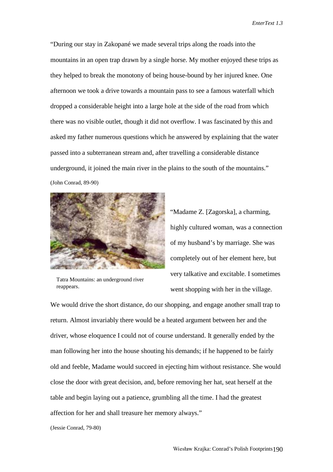"During our stay in Zakopané we made several trips along the roads into the mountains in an open trap drawn by a single horse. My mother enjoyed these trips as they helped to break the monotony of being house-bound by her injured knee. One afternoon we took a drive towards a mountain pass to see a famous waterfall which dropped a considerable height into a large hole at the side of the road from which there was no visible outlet, though it did not overflow. I was fascinated by this and asked my father numerous questions which he answered by explaining that the water passed into a subterranean stream and, after travelling a considerable distance underground, it joined the main river in the plains to the south of the mountains." (John Conrad, 89-90)



"Madame Z. [Zagorska], a charming, highly cultured woman, was a connection of my husband's by marriage. She was completely out of her element here, but very talkative and excitable. I sometimes went shopping with her in the village.

Tatra Mountains: an underground river reappears.

We would drive the short distance, do our shopping, and engage another small trap to return. Almost invariably there would be a heated argument between her and the driver, whose eloquence I could not of course understand. It generally ended by the man following her into the house shouting his demands; if he happened to be fairly old and feeble, Madame would succeed in ejecting him without resistance. She would close the door with great decision, and, before removing her hat, seat herself at the table and begin laying out a patience, grumbling all the time. I had the greatest affection for her and shall treasure her memory always."

(Jessie Conrad, 79-80)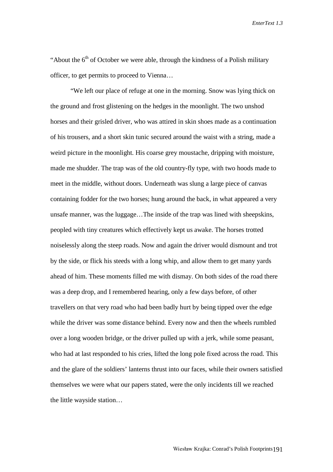"About the  $6<sup>th</sup>$  of October we were able, through the kindness of a Polish military officer, to get permits to proceed to Vienna…

"We left our place of refuge at one in the morning. Snow was lying thick on the ground and frost glistening on the hedges in the moonlight. The two unshod horses and their grisled driver, who was attired in skin shoes made as a continuation of his trousers, and a short skin tunic secured around the waist with a string, made a weird picture in the moonlight. His coarse grey moustache, dripping with moisture, made me shudder. The trap was of the old country-fly type, with two hoods made to meet in the middle, without doors. Underneath was slung a large piece of canvas containing fodder for the two horses; hung around the back, in what appeared a very unsafe manner, was the luggage…The inside of the trap was lined with sheepskins, peopled with tiny creatures which effectively kept us awake. The horses trotted noiselessly along the steep roads. Now and again the driver would dismount and trot by the side, or flick his steeds with a long whip, and allow them to get many yards ahead of him. These moments filled me with dismay. On both sides of the road there was a deep drop, and I remembered hearing, only a few days before, of other travellers on that very road who had been badly hurt by being tipped over the edge while the driver was some distance behind. Every now and then the wheels rumbled over a long wooden bridge, or the driver pulled up with a jerk, while some peasant, who had at last responded to his cries, lifted the long pole fixed across the road. This and the glare of the soldiers' lanterns thrust into our faces, while their owners satisfied themselves we were what our papers stated, were the only incidents till we reached the little wayside station…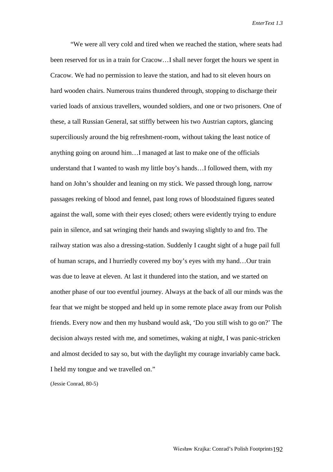"We were all very cold and tired when we reached the station, where seats had been reserved for us in a train for Cracow…I shall never forget the hours we spent in Cracow. We had no permission to leave the station, and had to sit eleven hours on hard wooden chairs. Numerous trains thundered through, stopping to discharge their varied loads of anxious travellers, wounded soldiers, and one or two prisoners. One of these, a tall Russian General, sat stiffly between his two Austrian captors, glancing superciliously around the big refreshment-room, without taking the least notice of anything going on around him…I managed at last to make one of the officials understand that I wanted to wash my little boy's hands…I followed them, with my hand on John's shoulder and leaning on my stick. We passed through long, narrow passages reeking of blood and fennel, past long rows of bloodstained figures seated against the wall, some with their eyes closed; others were evidently trying to endure pain in silence, and sat wringing their hands and swaying slightly to and fro. The railway station was also a dressing-station. Suddenly I caught sight of a huge pail full of human scraps, and I hurriedly covered my boy's eyes with my hand…Our train was due to leave at eleven. At last it thundered into the station, and we started on another phase of our too eventful journey. Always at the back of all our minds was the fear that we might be stopped and held up in some remote place away from our Polish friends. Every now and then my husband would ask, 'Do you still wish to go on?' The decision always rested with me, and sometimes, waking at night, I was panic-stricken and almost decided to say so, but with the daylight my courage invariably came back. I held my tongue and we travelled on."

(Jessie Conrad, 80-5)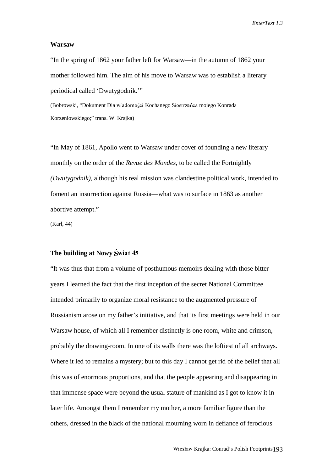#### **Warsaw**

"In the spring of 1862 your father left for Warsaw—in the autumn of 1862 your mother followed him. The aim of his move to Warsaw was to establish a literary periodical called 'Dwutygodnik.'"

(Bobrowski, "Dokument Dla wiadomości Kochanego Siostrzeńca mojego Konrada Korzeniowskiego;" trans. W. Krajka)

"In May of 1861, Apollo went to Warsaw under cover of founding a new literary monthly on the order of the *Revue des Mondes,* to be called the Fortnightly *(Dwutygodnik),* although his real mission was clandestine political work, intended to foment an insurrection against Russia—what was to surface in 1863 as another abortive attempt."

(Karl, 44)

### **The building at Nowy**

"It was thus that from a volume of posthumous memoirs dealing with those bitter years I learned the fact that the first inception of the secret National Committee intended primarily to organize moral resistance to the augmented pressure of Russianism arose on my father's initiative, and that its first meetings were held in our Warsaw house, of which all I remember distinctly is one room, white and crimson, probably the drawing-room. In one of its walls there was the loftiest of all archways. Where it led to remains a mystery; but to this day I cannot get rid of the belief that all this was of enormous proportions, and that the people appearing and disappearing in that immense space were beyond the usual stature of mankind as I got to know it in later life. Amongst them I remember my mother, a more familiar figure than the others, dressed in the black of the national mourning worn in defiance of ferocious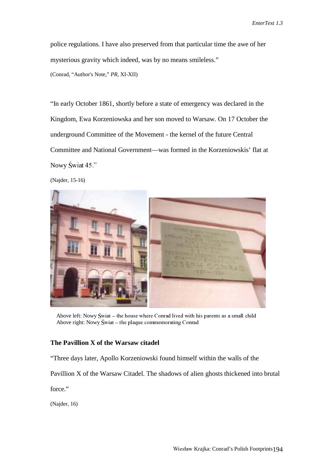police regulations. I have also preserved from that particular time the awe of her mysterious gravity which indeed, was by no means smileless." (Conrad, "Author's Note," *PR,* XI-XII)

"In early October 1861, shortly before a state of emergency was declared in the Kingdom, Ewa Korzeniowska and her son moved to Warsaw. On 17 October the underground Committee of the Movement - the kernel of the future Central Committee and National Government—was formed in the Korzeniowskis' flat at Nowy Swiat 45 $"$ 

(Najder, 15-16)



Above left: Nowy Swiat – the house where Conrad lived with his parents as a small child Above right: Nowy Swiat – the plaque commemorating Conrad

## **The Pavillion X of the Warsaw citadel**

"Three days later, Apollo Korzeniowski found himself within the walls of the

Pavillion X of the Warsaw Citadel. The shadows of alien ghosts thickened into brutal

force."

(Najder, 16)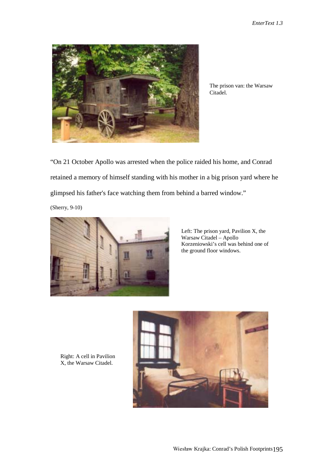

The prison van: the Warsaw Citadel.

"On 21 October Apollo was arrested when the police raided his home, and Conrad retained a memory of himself standing with his mother in a big prison yard where he glimpsed his father's face watching them from behind a barred window."

(Sherry, 9-10)



Left: The prison yard, Pavilion X, the Warsaw Citadel – Apollo Korzeniowski's cell was behind one of the ground floor windows.



Right: A cell in Pavilion X, the Warsaw Citadel.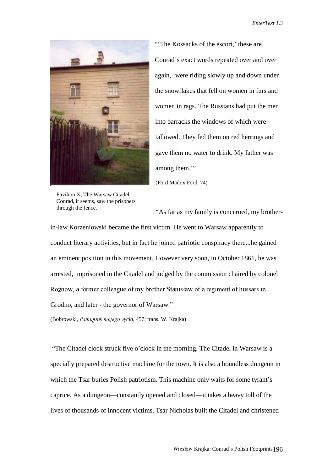

Pavilion X, The Warsaw Citadel: Conrad, it seems, saw the prisoners through the fence.

"'The Kossacks of the escort,' these are Conrad's exact words repeated over and over again, 'were riding slowly up and down under the snowflakes that fell on women in furs and women in rags. The Russians had put the men into barracks the windows of which were tallowed. They fed them on red herrings and gave them no water to drink. My father was among them."

(Ford Madox Ford, 74)

"As far as my family is concerned, my brother-

in-law Korzeniowski became the first victim. He went to Warsaw apparently to conduct literary activities, but in fact he joined patriotic conspiracy there...he gained an eminent position in this movement. However very soon, in October 1861, he was arrested, imprisoned in the Citadel and judged by the commission chaired by colonel Rożnow, a former colleague of my brother Stanisław of a regiment of hussars in Grodno, and later - the governor of Warsaw."

(Bobrowski, Pamiętnik mojego życia, 457; trans. W. Krajka)

 "The Citadel clock struck five o'clock in the morning. The Citadel in Warsaw is a specially prepared destructive machine for the town. It is also a boundless dungeon in which the Tsar buries Polish patriotism. This machine only waits for some tyrant's caprice. As a dungeon—constantly opened and closed—it takes a heavy toll of the lives of thousands of innocent victims. Tsar Nicholas built the Citadel and christened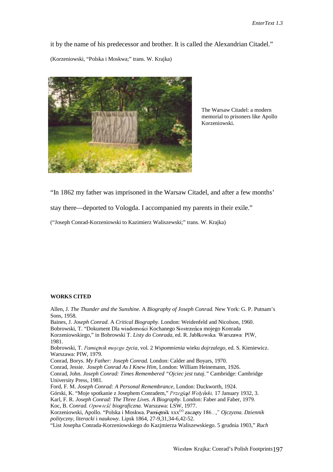it by the name of his predecessor and brother. It is called the Alexandrian Citadel." (Korzeniowski, "Polska i Moskwa;" trans. W. Krajka)



The Warsaw Citadel: a modern memorial to prisoners like Apollo Korzeniowski.

"In 1862 my father was imprisoned in the Warsaw Citadel, and after a few months'

stay there—deported to Vologda. I accompanied my parents in their exile."

("Joseph Conrad-Korzeniowski to Kazimierz Waliszewski;" trans. W. Krajka)

#### **WORKS CITED**

Allen, J. *The Thunder and the Sunshine.* A *Biography of Joseph Conrad.* New York: G. P. Putnam's Sons, 1958. Baines, J. *Joseph Conrad.* A *Critical Biography.* London: Weidenfeld and Nicolson, 1960. Bobrowski, T. "Dokument Dla wiadomości Kochanego Siostrzeńca mojego Konrada Korzeniowskiego," in Bobrowski T. *Listy do Conrada*, ed. R. Jabłkowska. Warszawa: PIW, 1981. Bobrowski, T. Pamiętnik mojego życia, vol. 2 Wspomnienia wieku dojrzalego, ed. S. Kieniewicz. Warszawa: PIW, 1979. Conrad, Borys. *My Father: Joseph Conrad.* London: Calder and Boyars, 1970*.* Conrad, Jessie. *Joseph Conrad As I Knew Him,* London: William Heinemann, 1926. Conrad, John. *Joseph Conrad: Times Remembered "Ojciec jest tutaj."* Cambridge: Cambridge University Press, 1981. Ford, F. M. *Joseph Conrad: A Personal Remembrance,* London: Duckworth, 1924. Górski, K. "Moje spotkanie z Josephem Conradem," Przegląd Wołyński, 17 January 1932, 3. Karl, F. R. *Joseph Conrad: The Three Lives. A Biography.* London: Faber and Faber, 1979. Koc, B. *Conrad. Opowieść biograficzna*. Warszawa: LSW, 1977. Korzeniowski, Apollo. "Polska i Moskwa. Pamiętnik xxx<sup>(x)</sup> zaczęty 186...," *Ojczyzna. Dziennik polityczny, literacki* i *naukowy.* Lipsk 1864, 27-9,31,34-6,42-52. "List Josepha Conrada-Korzeniowskiego do Kazjmierza Waliszewskiego. 5 grudnia 1903," *Ruch*